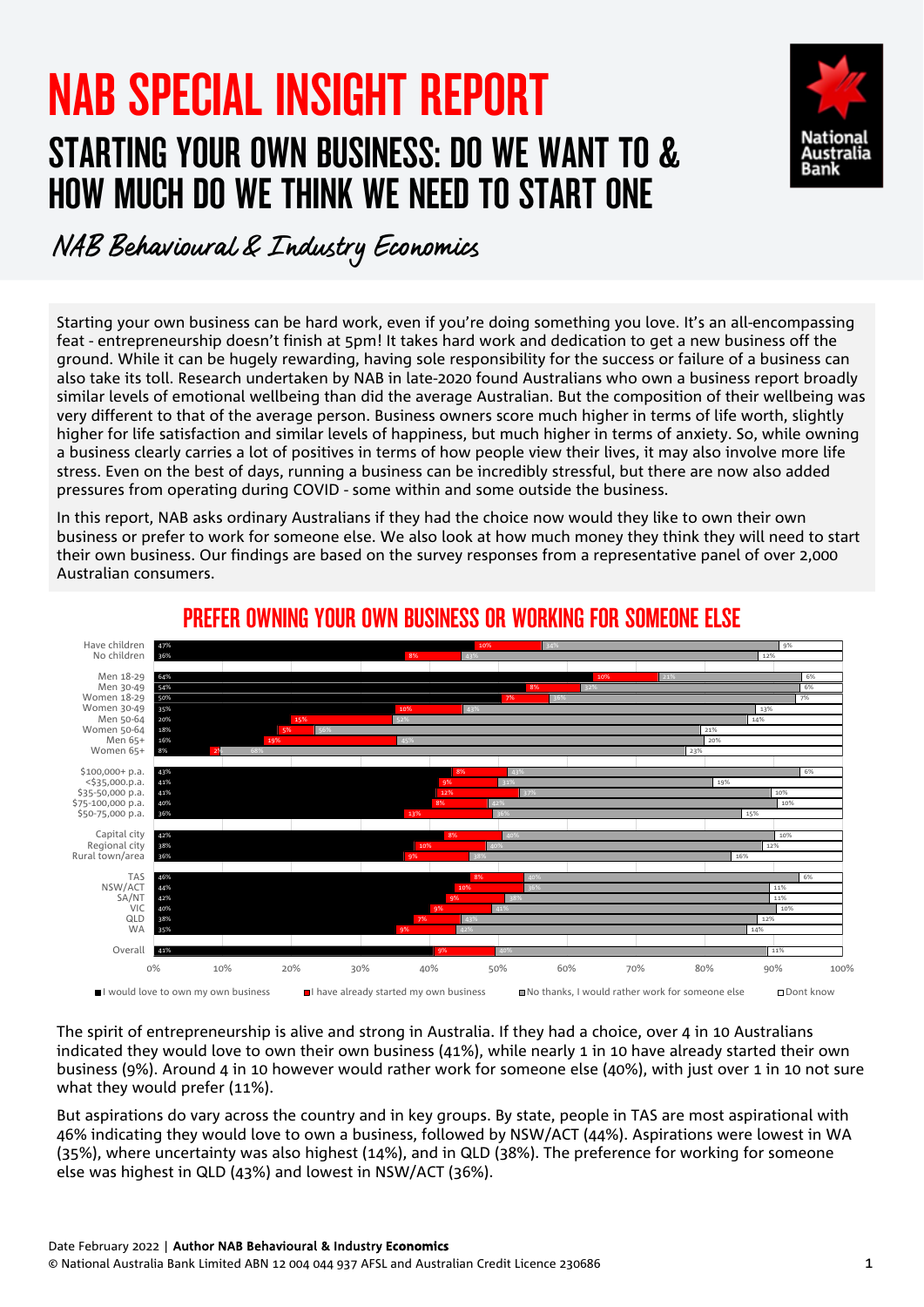# NAB SPECIAL INSIGHT REPORT STARTING YOUR OWN BUSINESS: DO WE WANT TO & HOW MUCH DO WE THINK WE NEED TO START ONE



## NAB Behavioural & Industry Economics

Starting your own business can be hard work, even if you're doing something you love. It's an all-encompassing feat - entrepreneurship doesn't finish at 5pm! It takes hard work and dedication to get a new business off the ground. While it can be hugely rewarding, having sole responsibility for the success or failure of a business can also take its toll. Research undertaken by NAB in late-2020 found Australians who own a business report broadly similar levels of emotional wellbeing than did the average Australian. But the composition of their wellbeing was very different to that of the average person. Business owners score much higher in terms of life worth, slightly higher for life satisfaction and similar levels of happiness, but much higher in terms of anxiety. So, while owning a business clearly carries a lot of positives in terms of how people view their lives, it may also involve more life stress. Even on the best of days, running a business can be incredibly stressful, but there are now also added pressures from operating during COVID - some within and some outside the business.

In this report, NAB asks ordinary Australians if they had the choice now would they like to own their own business or prefer to work for someone else. We also look at how much money they think they will need to start their own business. Our findings are based on the survey responses from a representative panel of over 2,000 Australian consumers.



### PREFER OWNING YOUR OWN BUSINESS OR WORKING FOR SOMEONE ELSE

The spirit of entrepreneurship is alive and strong in Australia. If they had a choice, over 4 in 10 Australians indicated they would love to own their own business (41%), while nearly 1 in 10 have already started their own business (9%). Around 4 in 10 however would rather work for someone else (40%), with just over 1 in 10 not sure what they would prefer (11%).

But aspirations do vary across the country and in key groups. By state, people in TAS are most aspirational with 46% indicating they would love to own a business, followed by NSW/ACT (44%). Aspirations were lowest in WA (35%), where uncertainty was also highest (14%), and in QLD (38%). The preference for working for someone else was highest in QLD (43%) and lowest in NSW/ACT (36%).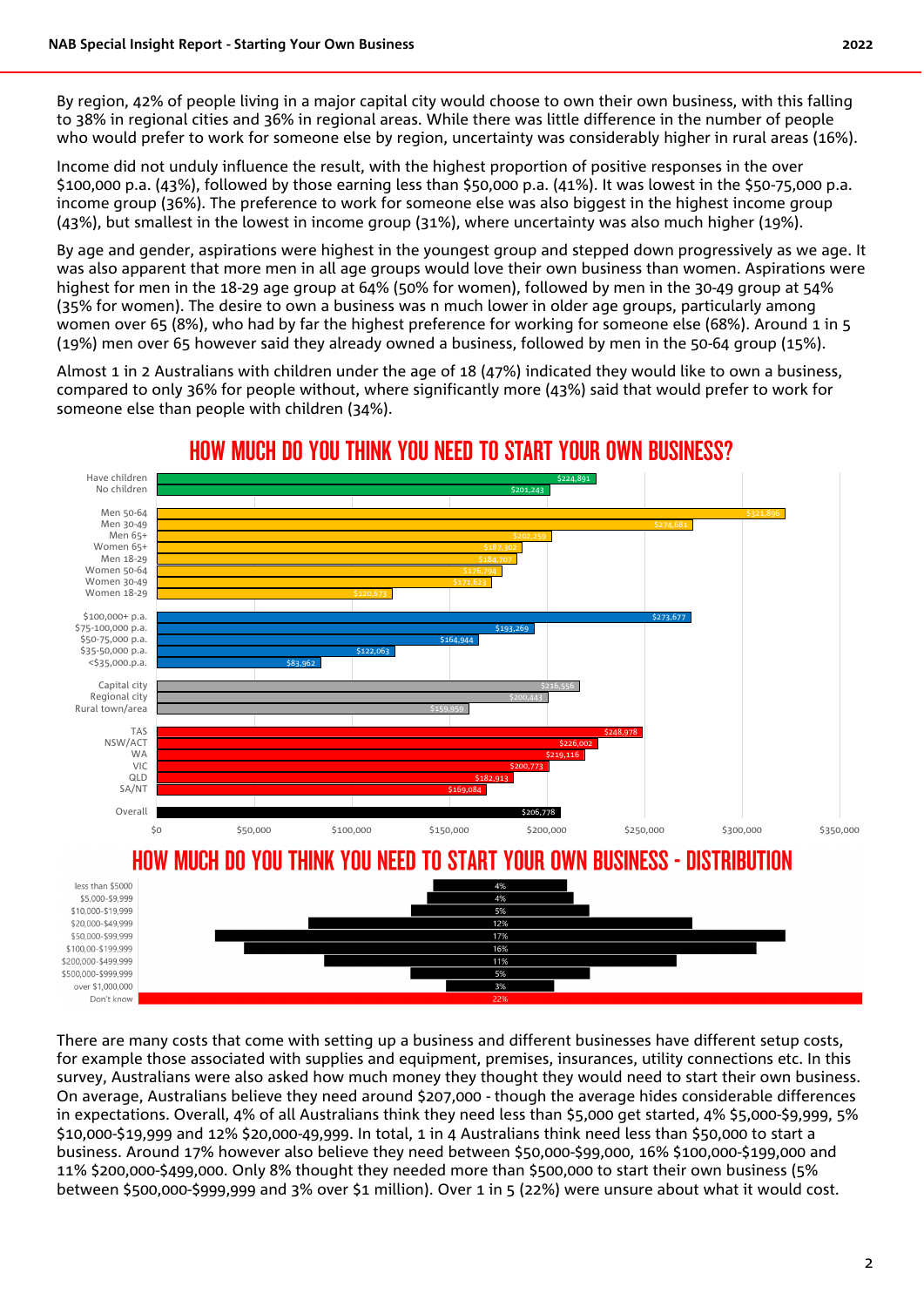By region, 42% of people living in a major capital city would choose to own their own business, with this falling to 38% in regional cities and 36% in regional areas. While there was little difference in the number of people who would prefer to work for someone else by region, uncertainty was considerably higher in rural areas (16%).

Income did not unduly influence the result, with the highest proportion of positive responses in the over \$100,000 p.a. (43%), followed by those earning less than \$50,000 p.a. (41%). It was lowest in the \$50-75,000 p.a. income group (36%). The preference to work for someone else was also biggest in the highest income group (43%), but smallest in the lowest in income group (31%), where uncertainty was also much higher (19%).

By age and gender, aspirations were highest in the youngest group and stepped down progressively as we age. It was also apparent that more men in all age groups would love their own business than women. Aspirations were highest for men in the 18-29 age group at 64% (50% for women), followed by men in the 30-49 group at 54% (35% for women). The desire to own a business was n much lower in older age groups, particularly among women over 65 (8%), who had by far the highest preference for working for someone else (68%). Around 1 in 5 (19%) men over 65 however said they already owned a business, followed by men in the 50-64 group (15%).

Almost 1 in 2 Australians with children under the age of 18 (47%) indicated they would like to own a business, compared to only 36% for people without, where significantly more (43%) said that would prefer to work for someone else than people with children (34%).



#### HOW MUCH DO YOU THINK YOU NEED TO START YOUR OWN BUSINESS?

There are many costs that come with setting up a business and different businesses have different setup costs, for example those associated with supplies and equipment, premises, insurances, utility connections etc. In this survey, Australians were also asked how much money they thought they would need to start their own business. On average, Australians believe they need around \$207,000 - though the average hides considerable differences in expectations. Overall, 4% of all Australians think they need less than \$5,000 get started, 4% \$5,000-\$9,999, 5% \$10,000-\$19,999 and 12% \$20,000-49,999. In total, 1 in 4 Australians think need less than \$50,000 to start a business. Around 17% however also believe they need between \$50,000-\$99,000, 16% \$100,000-\$199,000 and 11% \$200,000-\$499,000. Only 8% thought they needed more than \$500,000 to start their own business (5% between \$500,000-\$999,999 and 3% over \$1 million). Over 1 in 5 (22%) were unsure about what it would cost.